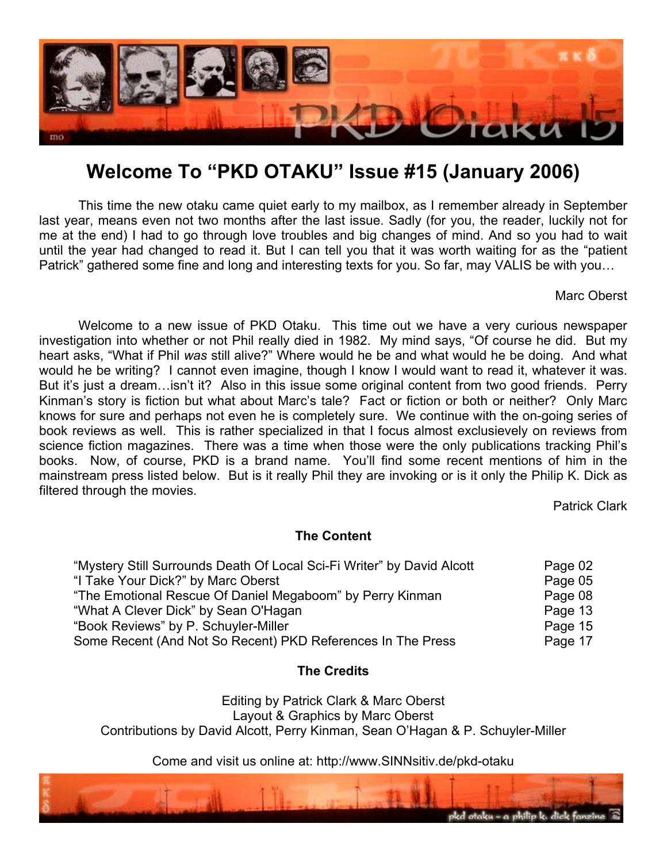

# **Welcome To "PKD OTAKU" Issue #15 (January 2006)**

This time the new otaku came quiet early to my mailbox, as I remember already in September last year, means even not two months after the last issue. Sadly (for you, the reader, luckily not for me at the end) I had to go through love troubles and big changes of mind. And so you had to wait until the year had changed to read it. But I can tell you that it was worth waiting for as the "patient" Patrick" gathered some fine and long and interesting texts for you. So far, may VALIS be with you...

Marc Oberst

Welcome to a new issue of PKD Otaku. This time out we have a very curious newspaper investigation into whether or not Phil really died in 1982. My mind says, "Of course he did. But my heart asks, "What if Phil was still alive?" Where would he be and what would he be doing. And what would he be writing? I cannot even imagine, though I know I would want to read it, whatever it was. But it's just a dream... isn't it? Also in this issue some original content from two good friends. Perry Kinman's story is fiction but what about Marc's tale? Fact or fiction or both or neither? Only Marc knows for sure and perhaps not even he is completely sure. We continue with the on-going series of book reviews as well. This is rather specialized in that I focus almost exclusievely on reviews from science fiction magazines. There was a time when those were the only publications tracking Phil's books. Now, of course, PKD is a brand name. You'll find some recent mentions of him in the mainstream press listed below. But is it really Phil they are invoking or is it only the Philip K. Dick as filtered through the movies.

Patrick Clark

### **The Content**

| "Mystery Still Surrounds Death Of Local Sci-Fi Writer" by David Alcott | Page 02 |
|------------------------------------------------------------------------|---------|
| "I Take Your Dick?" by Marc Oberst                                     | Page 05 |
| "The Emotional Rescue Of Daniel Megaboom" by Perry Kinman              | Page 08 |
| "What A Clever Dick" by Sean O'Hagan                                   | Page 13 |
| "Book Reviews" by P. Schuyler-Miller                                   | Page 15 |
| Some Recent (And Not So Recent) PKD References In The Press            | Page 17 |

### **The Credits**

Editing by Patrick Clark & Marc Oberst Layout & Graphics by Marc Oberst Contributions by David Alcott, Perry Kinman, Sean OíHagan & P. Schuyler-Miller

Come and visit us online at: http://www.SINNsitiv.de/pkd-otaku

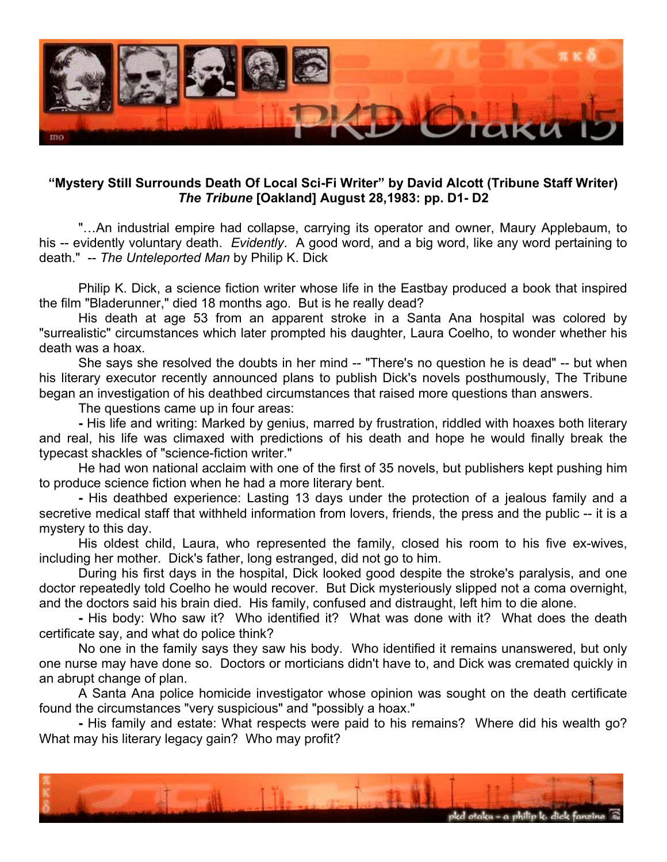

#### **ìMystery Still Surrounds Death Of Local Sci-Fi Writerî by David Alcott (Tribune Staff Writer)**  *The Tribune* **[Oakland] August 28,1983: pp. D1- D2**

"...An industrial empire had collapse, carrying its operator and owner, Maury Applebaum, to his -- evidently voluntary death. *Evidently*. A good word, and a big word, like any word pertaining to death." -- *The Unteleported Man* by Philip K. Dick

Philip K. Dick, a science fiction writer whose life in the Eastbay produced a book that inspired the film "Bladerunner," died 18 months ago. But is he really dead?

His death at age 53 from an apparent stroke in a Santa Ana hospital was colored by "surrealistic" circumstances which later prompted his daughter, Laura Coelho, to wonder whether his death was a hoax.

She says she resolved the doubts in her mind -- "There's no question he is dead" -- but when his literary executor recently announced plans to publish Dick's novels posthumously, The Tribune began an investigation of his deathbed circumstances that raised more questions than answers.

The questions came up in four areas:

**-** His life and writing: Marked by genius, marred by frustration, riddled with hoaxes both literary and real, his life was climaxed with predictions of his death and hope he would finally break the typecast shackles of "science-fiction writer."

He had won national acclaim with one of the first of 35 novels, but publishers kept pushing him to produce science fiction when he had a more literary bent.

**-** His deathbed experience: Lasting 13 days under the protection of a jealous family and a secretive medical staff that withheld information from lovers, friends, the press and the public -- it is a mystery to this day.

His oldest child, Laura, who represented the family, closed his room to his five ex-wives, including her mother. Dick's father, long estranged, did not go to him.

During his first days in the hospital, Dick looked good despite the stroke's paralysis, and one doctor repeatedly told Coelho he would recover. But Dick mysteriously slipped not a coma overnight, and the doctors said his brain died. His family, confused and distraught, left him to die alone.

**-** His body: Who saw it? Who identified it? What was done with it? What does the death certificate say, and what do police think?

No one in the family says they saw his body. Who identified it remains unanswered, but only one nurse may have done so. Doctors or morticians didn't have to, and Dick was cremated quickly in an abrupt change of plan.

A Santa Ana police homicide investigator whose opinion was sought on the death certificate found the circumstances "very suspicious" and "possibly a hoax."

**-** His family and estate: What respects were paid to his remains? Where did his wealth go? What may his literary legacy gain? Who may profit?

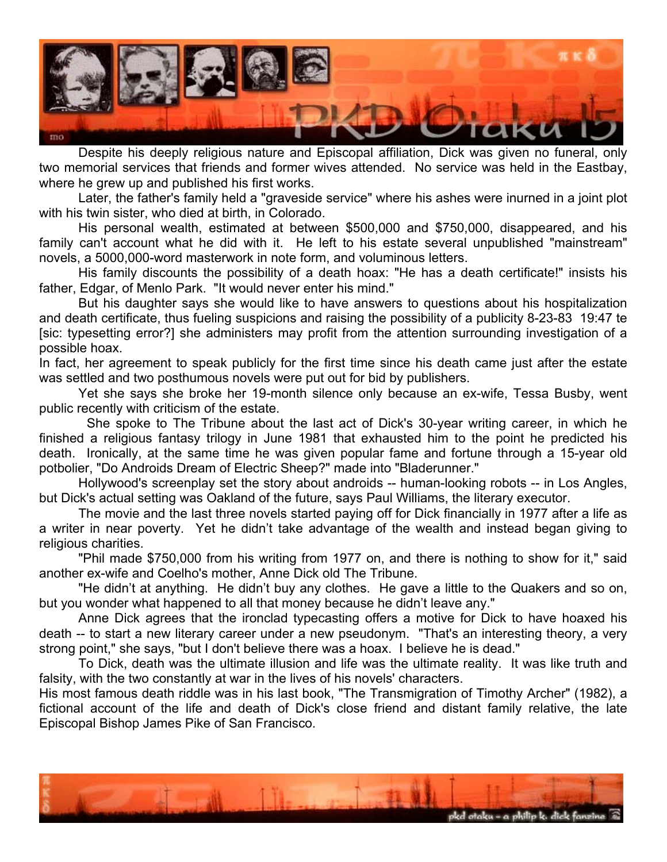

Despite his deeply religious nature and Episcopal affiliation, Dick was given no funeral, only two memorial services that friends and former wives attended. No service was held in the Eastbay, where he grew up and published his first works.

Later, the father's family held a "graveside service" where his ashes were inurned in a joint plot with his twin sister, who died at birth, in Colorado.

His personal wealth, estimated at between \$500,000 and \$750,000, disappeared, and his family can't account what he did with it. He left to his estate several unpublished "mainstream" novels, a 5000,000-word masterwork in note form, and voluminous letters.

His family discounts the possibility of a death hoax: "He has a death certificate!" insists his father, Edgar, of Menlo Park. "It would never enter his mind."

But his daughter says she would like to have answers to questions about his hospitalization and death certificate, thus fueling suspicions and raising the possibility of a publicity 8-23-83 19:47 te [sic: typesetting error?] she administers may profit from the attention surrounding investigation of a possible hoax.

In fact, her agreement to speak publicly for the first time since his death came just after the estate was settled and two posthumous novels were put out for bid by publishers.

Yet she says she broke her 19-month silence only because an ex-wife, Tessa Busby, went public recently with criticism of the estate.

 She spoke to The Tribune about the last act of Dick's 30-year writing career, in which he finished a religious fantasy trilogy in June 1981 that exhausted him to the point he predicted his death. Ironically, at the same time he was given popular fame and fortune through a 15-year old potbolier, "Do Androids Dream of Electric Sheep?" made into "Bladerunner."

Hollywood's screenplay set the story about androids -- human-looking robots -- in Los Angles, but Dick's actual setting was Oakland of the future, says Paul Williams, the literary executor.

The movie and the last three novels started paying off for Dick financially in 1977 after a life as a writer in near poverty. Yet he didn't take advantage of the wealth and instead began giving to religious charities.

"Phil made \$750,000 from his writing from 1977 on, and there is nothing to show for it," said another ex-wife and Coelho's mother, Anne Dick old The Tribune.

"He didn't at anything. He didn't buy any clothes. He gave a little to the Quakers and so on, but you wonder what happened to all that money because he didnít leave any."

Anne Dick agrees that the ironclad typecasting offers a motive for Dick to have hoaxed his death -- to start a new literary career under a new pseudonym. "That's an interesting theory, a very strong point," she says, "but I don't believe there was a hoax. I believe he is dead."

To Dick, death was the ultimate illusion and life was the ultimate reality. It was like truth and falsity, with the two constantly at war in the lives of his novels' characters.

His most famous death riddle was in his last book, "The Transmigration of Timothy Archer" (1982), a fictional account of the life and death of Dick's close friend and distant family relative, the late Episcopal Bishop James Pike of San Francisco.

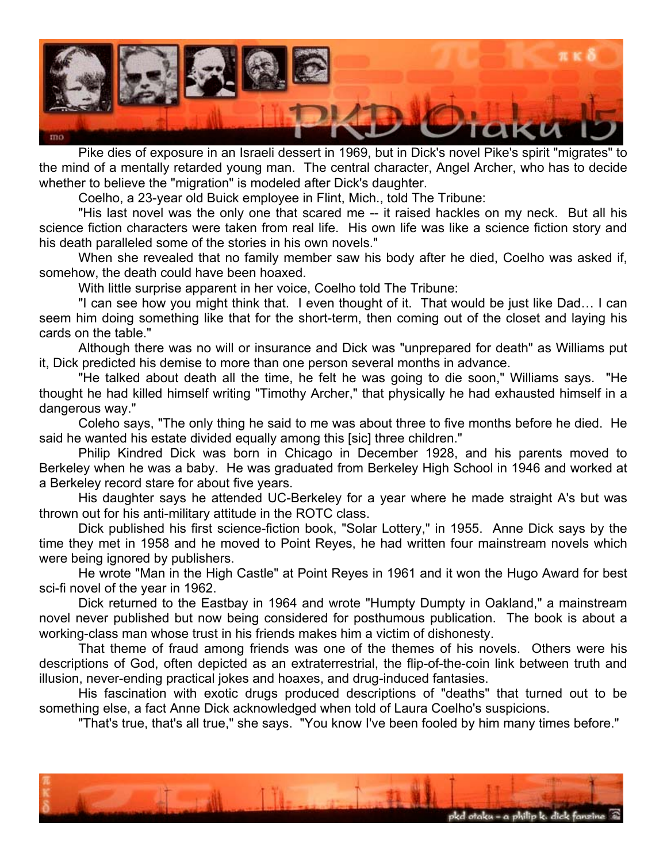

Pike dies of exposure in an Israeli dessert in 1969, but in Dick's novel Pike's spirit "migrates" to the mind of a mentally retarded young man. The central character, Angel Archer, who has to decide whether to believe the "migration" is modeled after Dick's daughter.

Coelho, a 23-year old Buick employee in Flint, Mich., told The Tribune:

"His last novel was the only one that scared me -- it raised hackles on my neck. But all his science fiction characters were taken from real life. His own life was like a science fiction story and his death paralleled some of the stories in his own novels."

When she revealed that no family member saw his body after he died, Coelho was asked if, somehow, the death could have been hoaxed.

With little surprise apparent in her voice, Coelho told The Tribune:

"I can see how you might think that. I even thought of it. That would be just like Dad... I can seem him doing something like that for the short-term, then coming out of the closet and laying his cards on the table."

Although there was no will or insurance and Dick was "unprepared for death" as Williams put it, Dick predicted his demise to more than one person several months in advance.

"He talked about death all the time, he felt he was going to die soon," Williams says. "He thought he had killed himself writing "Timothy Archer," that physically he had exhausted himself in a dangerous way."

Coleho says, "The only thing he said to me was about three to five months before he died. He said he wanted his estate divided equally among this [sic] three children."

Philip Kindred Dick was born in Chicago in December 1928, and his parents moved to Berkeley when he was a baby. He was graduated from Berkeley High School in 1946 and worked at a Berkeley record stare for about five years.

His daughter says he attended UC-Berkeley for a year where he made straight A's but was thrown out for his anti-military attitude in the ROTC class.

Dick published his first science-fiction book, "Solar Lottery," in 1955. Anne Dick says by the time they met in 1958 and he moved to Point Reyes, he had written four mainstream novels which were being ignored by publishers.

He wrote "Man in the High Castle" at Point Reyes in 1961 and it won the Hugo Award for best sci-fi novel of the year in 1962.

Dick returned to the Eastbay in 1964 and wrote "Humpty Dumpty in Oakland," a mainstream novel never published but now being considered for posthumous publication. The book is about a working-class man whose trust in his friends makes him a victim of dishonesty.

That theme of fraud among friends was one of the themes of his novels. Others were his descriptions of God, often depicted as an extraterrestrial, the flip-of-the-coin link between truth and illusion, never-ending practical jokes and hoaxes, and drug-induced fantasies.

His fascination with exotic drugs produced descriptions of "deaths" that turned out to be something else, a fact Anne Dick acknowledged when told of Laura Coelho's suspicions.

"That's true, that's all true," she says. "You know I've been fooled by him many times before."

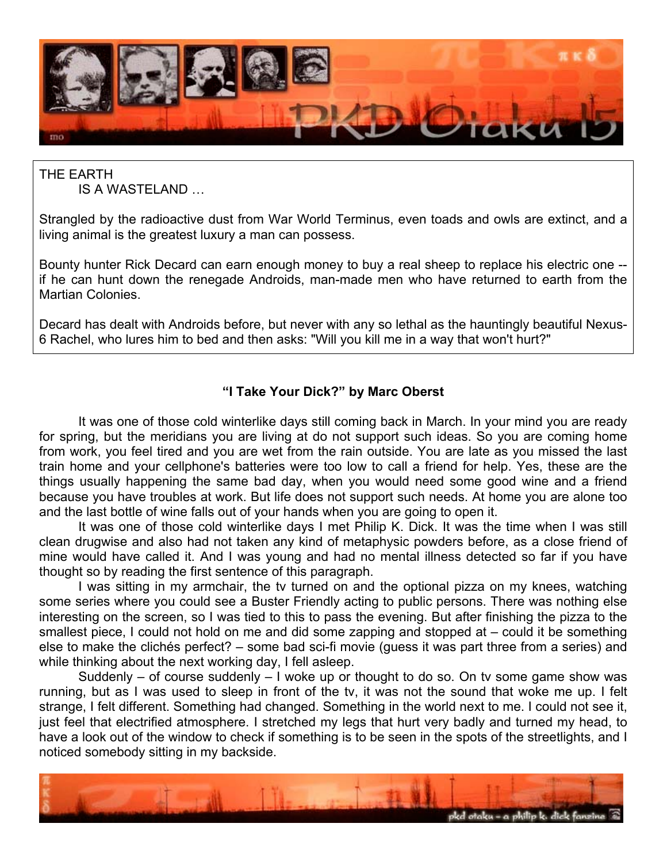

THE EARTH IS A WASTELAND ...

Strangled by the radioactive dust from War World Terminus, even toads and owls are extinct, and a living animal is the greatest luxury a man can possess.

Bounty hunter Rick Decard can earn enough money to buy a real sheep to replace his electric one - if he can hunt down the renegade Androids, man-made men who have returned to earth from the Martian Colonies.

Decard has dealt with Androids before, but never with any so lethal as the hauntingly beautiful Nexus-6 Rachel, who lures him to bed and then asks: "Will you kill me in a way that won't hurt?"

## **ìI Take Your Dick?î by Marc Oberst**

It was one of those cold winterlike days still coming back in March. In your mind you are ready for spring, but the meridians you are living at do not support such ideas. So you are coming home from work, you feel tired and you are wet from the rain outside. You are late as you missed the last train home and your cellphone's batteries were too low to call a friend for help. Yes, these are the things usually happening the same bad day, when you would need some good wine and a friend because you have troubles at work. But life does not support such needs. At home you are alone too and the last bottle of wine falls out of your hands when you are going to open it.

It was one of those cold winterlike days I met Philip K. Dick. It was the time when I was still clean drugwise and also had not taken any kind of metaphysic powders before, as a close friend of mine would have called it. And I was young and had no mental illness detected so far if you have thought so by reading the first sentence of this paragraph.

I was sitting in my armchair, the tv turned on and the optional pizza on my knees, watching some series where you could see a Buster Friendly acting to public persons. There was nothing else interesting on the screen, so I was tied to this to pass the evening. But after finishing the pizza to the smallest piece, I could not hold on me and did some zapping and stopped at  $-$  could it be something else to make the clichés perfect? – some bad sci-fi movie (guess it was part three from a series) and while thinking about the next working day, I fell asleep.

Suddenly  $-$  of course suddenly  $-$  I woke up or thought to do so. On tv some game show was running, but as I was used to sleep in front of the tv, it was not the sound that woke me up. I felt strange, I felt different. Something had changed. Something in the world next to me. I could not see it, just feel that electrified atmosphere. I stretched my legs that hurt very badly and turned my head, to have a look out of the window to check if something is to be seen in the spots of the streetlights, and I noticed somebody sitting in my backside.

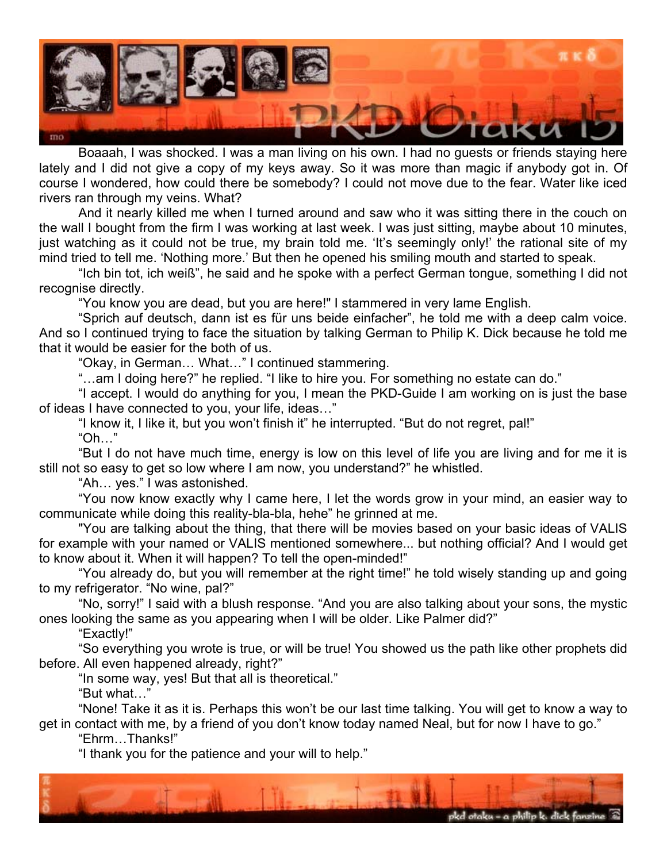

Boaaah, I was shocked. I was a man living on his own. I had no guests or friends staying here lately and I did not give a copy of my keys away. So it was more than magic if anybody got in. Of course I wondered, how could there be somebody? I could not move due to the fear. Water like iced rivers ran through my veins. What?

And it nearly killed me when I turned around and saw who it was sitting there in the couch on the wall I bought from the firm I was working at last week. I was just sitting, maybe about 10 minutes, just watching as it could not be true, my brain told me. 'It's seemingly only!' the rational site of my mind tried to tell me. 'Nothing more.' But then he opened his smiling mouth and started to speak.

"Ich bin tot, ich weiß", he said and he spoke with a perfect German tongue, something I did not recognise directly.

ìYou know you are dead, but you are here!" I stammered in very lame English.

"Sprich auf deutsch, dann ist es für uns beide einfacher", he told me with a deep calm voice. And so I continued trying to face the situation by talking German to Philip K. Dick because he told me that it would be easier for the both of us.

"Okay, in German... What..." I continued stammering.

"...am I doing here?" he replied. "I like to hire you. For something no estate can do."

"I accept. I would do anything for you, I mean the PKD-Guide I am working on is just the base of ideas I have connected to you, your life, ideas..."

"I know it, I like it, but you won't finish it" he interrupted. "But do not regret, pal!" " $Oh$ "

"But I do not have much time, energy is low on this level of life you are living and for me it is still not so easy to get so low where I am now, you understand?" he whistled.

"Ah... yes." I was astonished.

ìYou now know exactly why I came here, I let the words grow in your mind, an easier way to communicate while doing this reality-bla-bla, hehe" he grinned at me.

"You are talking about the thing, that there will be movies based on your basic ideas of VALIS for example with your named or VALIS mentioned somewhere... but nothing official? And I would get to know about it. When it will happen? To tell the open-minded!"

"You already do, but you will remember at the right time!" he told wisely standing up and going to my refrigerator. "No wine, pal?"

"No, sorry!" I said with a blush response. "And you are also talking about your sons, the mystic ones looking the same as you appearing when I will be older. Like Palmer did?î

ìExactly!î

ìSo everything you wrote is true, or will be true! You showed us the path like other prophets did before. All even happened already, right?"

"In some way, yes! But that all is theoretical."

"But what '

ìNone! Take it as it is. Perhaps this wonít be our last time talking. You will get to know a way to get in contact with me, by a friend of you don't know today named Neal, but for now I have to go."

"Fhrm Thanks!"

"I thank you for the patience and your will to help."

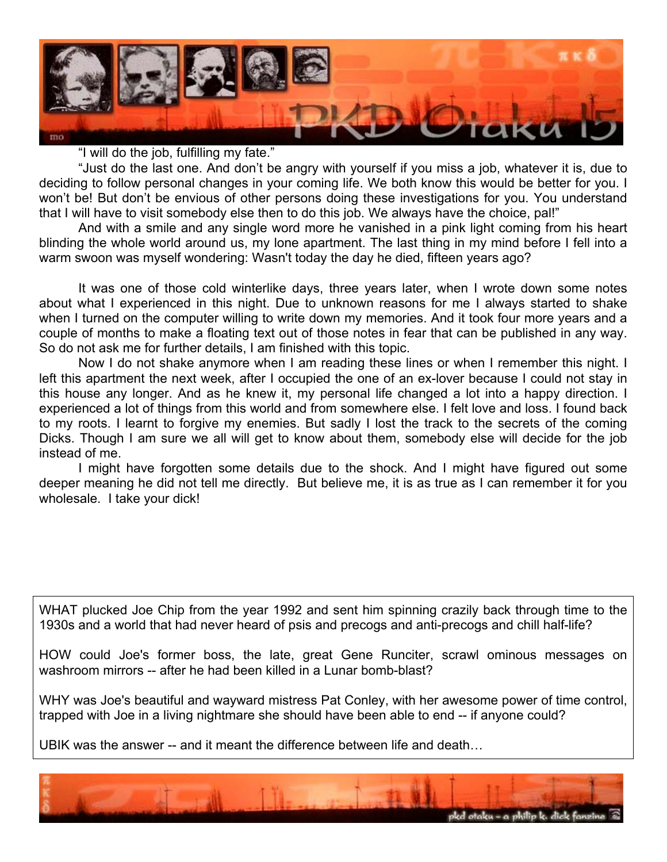

"I will do the job, fulfilling my fate."

ìJust do the last one. And donít be angry with yourself if you miss a job, whatever it is, due to deciding to follow personal changes in your coming life. We both know this would be better for you. I won't be! But don't be envious of other persons doing these investigations for you. You understand that I will have to visit somebody else then to do this job. We always have the choice, pal!"

And with a smile and any single word more he vanished in a pink light coming from his heart blinding the whole world around us, my lone apartment. The last thing in my mind before I fell into a warm swoon was myself wondering: Wasn't today the day he died, fifteen years ago?

It was one of those cold winterlike days, three years later, when I wrote down some notes about what I experienced in this night. Due to unknown reasons for me I always started to shake when I turned on the computer willing to write down my memories. And it took four more years and a couple of months to make a floating text out of those notes in fear that can be published in any way. So do not ask me for further details, I am finished with this topic.

Now I do not shake anymore when I am reading these lines or when I remember this night. I left this apartment the next week, after I occupied the one of an ex-lover because I could not stay in this house any longer. And as he knew it, my personal life changed a lot into a happy direction. I experienced a lot of things from this world and from somewhere else. I felt love and loss. I found back to my roots. I learnt to forgive my enemies. But sadly I lost the track to the secrets of the coming Dicks. Though I am sure we all will get to know about them, somebody else will decide for the job instead of me.

I might have forgotten some details due to the shock. And I might have figured out some deeper meaning he did not tell me directly. But believe me, it is as true as I can remember it for you wholesale. I take your dick!

WHAT plucked Joe Chip from the year 1992 and sent him spinning crazily back through time to the 1930s and a world that had never heard of psis and precogs and anti-precogs and chill half-life?

HOW could Joe's former boss, the late, great Gene Runciter, scrawl ominous messages on washroom mirrors -- after he had been killed in a Lunar bomb-blast?

WHY was Joe's beautiful and wayward mistress Pat Conley, with her awesome power of time control, trapped with Joe in a living nightmare she should have been able to end -- if anyone could?

UBIK was the answer -- and it meant the difference between life and death...

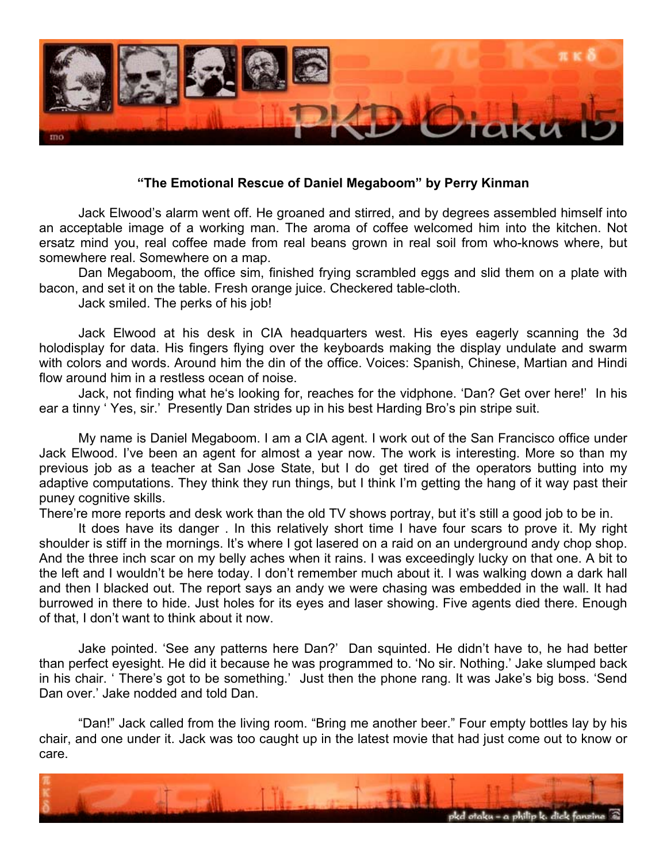

#### **ìThe Emotional Rescue of Daniel Megaboomî by Perry Kinman**

Jack Elwood's alarm went off. He groaned and stirred, and by degrees assembled himself into an acceptable image of a working man. The aroma of coffee welcomed him into the kitchen. Not ersatz mind you, real coffee made from real beans grown in real soil from who-knows where, but somewhere real. Somewhere on a map.

Dan Megaboom, the office sim, finished frying scrambled eggs and slid them on a plate with bacon, and set it on the table. Fresh orange juice. Checkered table-cloth.

Jack smiled. The perks of his job!

Jack Elwood at his desk in CIA headquarters west. His eyes eagerly scanning the 3d holodisplay for data. His fingers flying over the keyboards making the display undulate and swarm with colors and words. Around him the din of the office. Voices: Spanish, Chinese, Martian and Hindi flow around him in a restless ocean of noise.

Jack, not finding what he's looking for, reaches for the vidphone. 'Dan? Get over here!' In his ear a tinny 'Yes, sir.' Presently Dan strides up in his best Harding Bro's pin stripe suit.

My name is Daniel Megaboom. I am a CIA agent. I work out of the San Francisco office under Jack Elwood. I've been an agent for almost a year now. The work is interesting. More so than my previous job as a teacher at San Jose State, but I do get tired of the operators butting into my adaptive computations. They think they run things, but I think I'm getting the hang of it way past their puney cognitive skills.

There're more reports and desk work than the old TV shows portray, but it's still a good job to be in.

It does have its danger . In this relatively short time I have four scars to prove it. My right shoulder is stiff in the mornings. It's where I got lasered on a raid on an underground andy chop shop. And the three inch scar on my belly aches when it rains. I was exceedingly lucky on that one. A bit to the left and I wouldn't be here today. I don't remember much about it. I was walking down a dark hall and then I blacked out. The report says an andy we were chasing was embedded in the wall. It had burrowed in there to hide. Just holes for its eyes and laser showing. Five agents died there. Enough of that, I don't want to think about it now.

Jake pointed. 'See any patterns here Dan?' Dan squinted. He didn't have to, he had better than perfect eyesight. He did it because he was programmed to. 'No sir. Nothing.' Jake slumped back in his chair. 'There's got to be something.' Just then the phone rang. It was Jake's big boss. 'Send Dan over.' Jake nodded and told Dan.

"Dan!" Jack called from the living room. "Bring me another beer." Four empty bottles lay by his chair, and one under it. Jack was too caught up in the latest movie that had just come out to know or care.

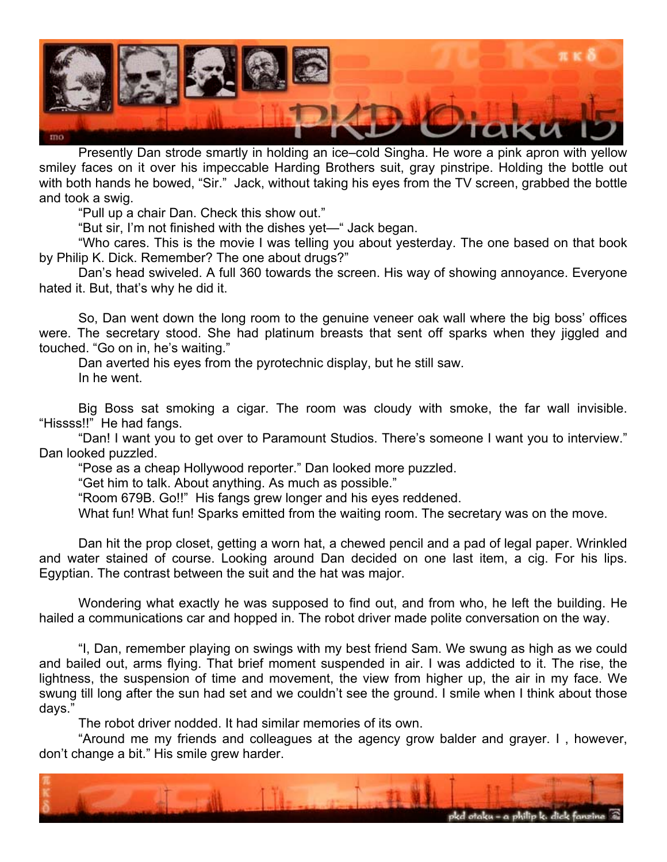

Presently Dan strode smartly in holding an ice-cold Singha. He wore a pink apron with yellow smiley faces on it over his impeccable Harding Brothers suit, gray pinstripe. Holding the bottle out with both hands he bowed, "Sir." Jack, without taking his eyes from the TV screen, grabbed the bottle and took a swig.

"Pull up a chair Dan. Check this show out."

"But sir, I'm not finished with the dishes yet—" Jack began.

ìWho cares. This is the movie I was telling you about yesterday. The one based on that book by Philip K. Dick. Remember? The one about drugs?"

Danís head swiveled. A full 360 towards the screen. His way of showing annoyance. Everyone hated it. But, that's why he did it.

So, Dan went down the long room to the genuine veneer oak wall where the big boss' offices were. The secretary stood. She had platinum breasts that sent off sparks when they jiggled and touched. "Go on in, he's waiting."

Dan averted his eyes from the pyrotechnic display, but he still saw.

In he went.

Big Boss sat smoking a cigar. The room was cloudy with smoke, the far wall invisible. "Hissss!!" He had fangs.

"Dan! I want you to get over to Paramount Studios. There's someone I want you to interview." Dan looked puzzled.

"Pose as a cheap Hollywood reporter." Dan looked more puzzled.

"Get him to talk. About anything. As much as possible."

ìRoom 679B. Go!!î His fangs grew longer and his eyes reddened.

What fun! What fun! Sparks emitted from the waiting room. The secretary was on the move.

Dan hit the prop closet, getting a worn hat, a chewed pencil and a pad of legal paper. Wrinkled and water stained of course. Looking around Dan decided on one last item, a cig. For his lips. Egyptian. The contrast between the suit and the hat was major.

Wondering what exactly he was supposed to find out, and from who, he left the building. He hailed a communications car and hopped in. The robot driver made polite conversation on the way.

"I, Dan, remember playing on swings with my best friend Sam. We swung as high as we could and bailed out, arms flying. That brief moment suspended in air. I was addicted to it. The rise, the lightness, the suspension of time and movement, the view from higher up, the air in my face. We swung till long after the sun had set and we couldn't see the ground. I smile when I think about those days."

The robot driver nodded. It had similar memories of its own.

ìAround me my friends and colleagues at the agency grow balder and grayer. I , however, don't change a bit." His smile grew harder.

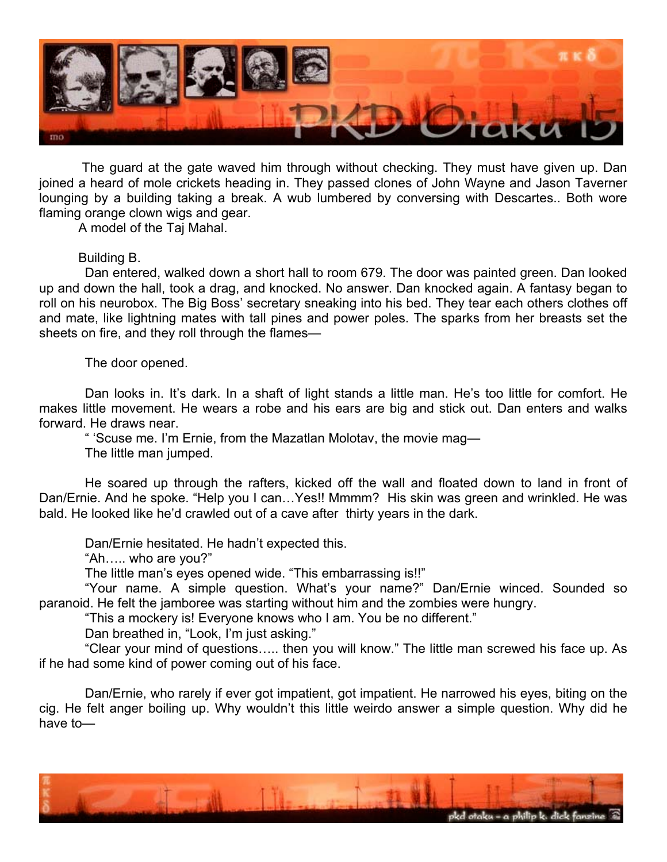

The guard at the gate waved him through without checking. They must have given up. Dan joined a heard of mole crickets heading in. They passed clones of John Wayne and Jason Taverner lounging by a building taking a break. A wub lumbered by conversing with Descartes.. Both wore flaming orange clown wigs and gear.

A model of the Taj Mahal.

#### Building B.

Dan entered, walked down a short hall to room 679. The door was painted green. Dan looked up and down the hall, took a drag, and knocked. No answer. Dan knocked again. A fantasy began to roll on his neurobox. The Big Boss' secretary sneaking into his bed. They tear each others clothes off and mate, like lightning mates with tall pines and power poles. The sparks from her breasts set the sheets on fire, and they roll through the flames—

The door opened.

Dan looks in. It's dark. In a shaft of light stands a little man. He's too little for comfort. He makes little movement. He wears a robe and his ears are big and stick out. Dan enters and walks forward. He draws near.

" 'Scuse me. I'm Ernie, from the Mazatlan Molotav, the movie mag-

The little man jumped.

He soared up through the rafters, kicked off the wall and floated down to land in front of Dan/Ernie. And he spoke. "Help you I can...Yes!! Mmmm? His skin was green and wrinkled. He was bald. He looked like he'd crawled out of a cave after thirty years in the dark.

Dan/Ernie hesitated. He hadn't expected this.

 $"Ah....$  who are you?"

The little man's eyes opened wide. "This embarrassing is!!"

ìYour name. A simple question. Whatís your name?î Dan/Ernie winced. Sounded so paranoid. He felt the jamboree was starting without him and the zombies were hungry.

"This a mockery is! Everyone knows who I am. You be no different."

Dan breathed in, "Look, I'm just asking."

"Clear your mind of questions..... then you will know." The little man screwed his face up. As if he had some kind of power coming out of his face.

Dan/Ernie, who rarely if ever got impatient, got impatient. He narrowed his eyes, biting on the cig. He felt anger boiling up. Why wouldn't this little weirdo answer a simple question. Why did he have  $to$ 

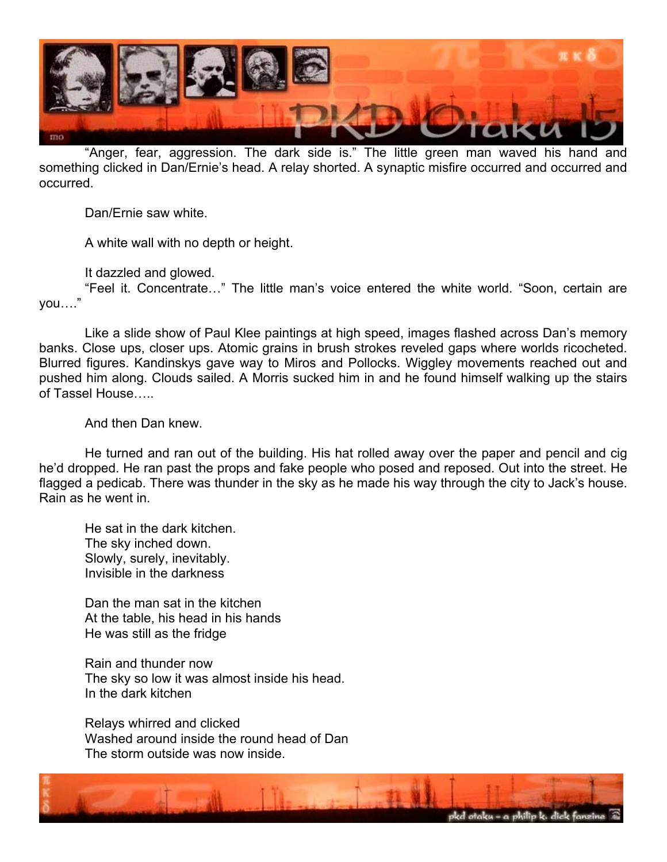

"Anger, fear, aggression. The dark side is." The little green man waved his hand and something clicked in Dan/Ernie's head. A relay shorted. A synaptic misfire occurred and occurred and occurred.

Dan/Ernie saw white.

A white wall with no depth or height.

It dazzled and glowed.

"Feel it. Concentrate..." The little man's voice entered the white world. "Soon, certain are you...."

Like a slide show of Paul Klee paintings at high speed, images flashed across Danís memory banks. Close ups, closer ups. Atomic grains in brush strokes reveled gaps where worlds ricocheted. Blurred figures. Kandinskys gave way to Miros and Pollocks. Wiggley movements reached out and pushed him along. Clouds sailed. A Morris sucked him in and he found himself walking up the stairs of Tassel House.....

And then Dan knew.

He turned and ran out of the building. His hat rolled away over the paper and pencil and cig he'd dropped. He ran past the props and fake people who posed and reposed. Out into the street. He flagged a pedicab. There was thunder in the sky as he made his way through the city to Jack's house. Rain as he went in.

He sat in the dark kitchen. The sky inched down. Slowly, surely, inevitably. Invisible in the darkness

Dan the man sat in the kitchen At the table, his head in his hands He was still as the fridge

Rain and thunder now The sky so low it was almost inside his head. In the dark kitchen

Relays whirred and clicked Washed around inside the round head of Dan The storm outside was now inside.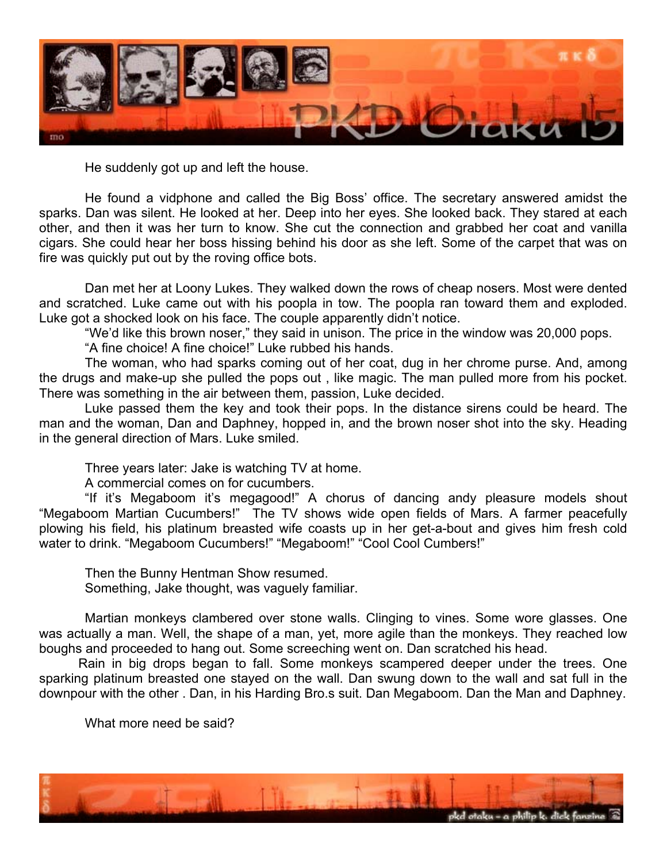

He suddenly got up and left the house.

He found a vidphone and called the Big Boss' office. The secretary answered amidst the sparks. Dan was silent. He looked at her. Deep into her eyes. She looked back. They stared at each other, and then it was her turn to know. She cut the connection and grabbed her coat and vanilla cigars. She could hear her boss hissing behind his door as she left. Some of the carpet that was on fire was quickly put out by the roving office bots.

Dan met her at Loony Lukes. They walked down the rows of cheap nosers. Most were dented and scratched. Luke came out with his poopla in tow. The poopla ran toward them and exploded. Luke got a shocked look on his face. The couple apparently didn't notice.

"We'd like this brown noser," they said in unison. The price in the window was 20,000 pops.

"A fine choice! A fine choice!" Luke rubbed his hands.

The woman, who had sparks coming out of her coat, dug in her chrome purse. And, among the drugs and make-up she pulled the pops out , like magic. The man pulled more from his pocket. There was something in the air between them, passion, Luke decided.

Luke passed them the key and took their pops. In the distance sirens could be heard. The man and the woman, Dan and Daphney, hopped in, and the brown noser shot into the sky. Heading in the general direction of Mars. Luke smiled.

Three years later: Jake is watching TV at home.

A commercial comes on for cucumbers.

"If it's Megaboom it's megagood!" A chorus of dancing andy pleasure models shout ìMegaboom Martian Cucumbers!î The TV shows wide open fields of Mars. A farmer peacefully plowing his field, his platinum breasted wife coasts up in her get-a-bout and gives him fresh cold water to drink. "Megaboom Cucumbers!" "Megaboom!" "Cool Cool Cumbers!"

Then the Bunny Hentman Show resumed. Something, Jake thought, was vaguely familiar.

Martian monkeys clambered over stone walls. Clinging to vines. Some wore glasses. One was actually a man. Well, the shape of a man, yet, more agile than the monkeys. They reached low boughs and proceeded to hang out. Some screeching went on. Dan scratched his head.

Rain in big drops began to fall. Some monkeys scampered deeper under the trees. One sparking platinum breasted one stayed on the wall. Dan swung down to the wall and sat full in the downpour with the other . Dan, in his Harding Bro.s suit. Dan Megaboom. Dan the Man and Daphney.

What more need be said?

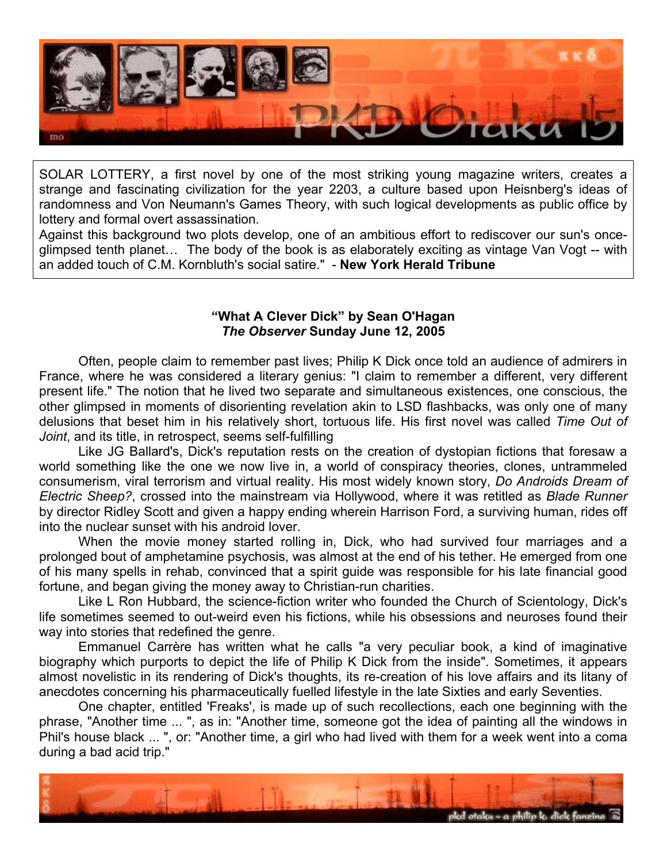

SOLAR LOTTERY, a first novel by one of the most striking young magazine writers, creates a strange and fascinating civilization for the year 2203, a culture based upon Heisnberg's ideas of randomness and Von Neumann's Games Theory, with such logical developments as public office by lottery and formal overt assassination.

Against this background two plots develop, one of an ambitious effort to rediscover our sun's onceglimpsed tenth planet... The body of the book is as elaborately exciting as vintage Van Vogt -- with an added touch of C.M. Kornbluth's social satire." - **New York Herald Tribune** 

## **ìWhat A Clever Dickî by Sean O'Hagan**  *The Observer* **Sunday June 12, 2005**

Often, people claim to remember past lives; Philip K Dick once told an audience of admirers in France, where he was considered a literary genius: "I claim to remember a different, very different present life." The notion that he lived two separate and simultaneous existences, one conscious, the other glimpsed in moments of disorienting revelation akin to LSD flashbacks, was only one of many delusions that beset him in his relatively short, tortuous life. His first novel was called *Time Out of Joint*, and its title, in retrospect, seems self-fulfilling

Like JG Ballard's, Dick's reputation rests on the creation of dystopian fictions that foresaw a world something like the one we now live in, a world of conspiracy theories, clones, untrammeled consumerism, viral terrorism and virtual reality. His most widely known story, *Do Androids Dream of Electric Sheep?*, crossed into the mainstream via Hollywood, where it was retitled as *Blade Runner* by director Ridley Scott and given a happy ending wherein Harrison Ford, a surviving human, rides off into the nuclear sunset with his android lover.

When the movie money started rolling in, Dick, who had survived four marriages and a prolonged bout of amphetamine psychosis, was almost at the end of his tether. He emerged from one of his many spells in rehab, convinced that a spirit guide was responsible for his late financial good fortune, and began giving the money away to Christian-run charities.

Like L Ron Hubbard, the science-fiction writer who founded the Church of Scientology, Dick's life sometimes seemed to out-weird even his fictions, while his obsessions and neuroses found their way into stories that redefined the genre.

Emmanuel Carrère has written what he calls "a very peculiar book, a kind of imaginative biography which purports to depict the life of Philip K Dick from the inside". Sometimes, it appears almost novelistic in its rendering of Dick's thoughts, its re-creation of his love affairs and its litany of anecdotes concerning his pharmaceutically fuelled lifestyle in the late Sixties and early Seventies.

One chapter, entitled 'Freaks', is made up of such recollections, each one beginning with the phrase, "Another time ... ", as in: "Another time, someone got the idea of painting all the windows in Phil's house black ... ", or: "Another time, a girl who had lived with them for a week went into a coma during a bad acid trip."

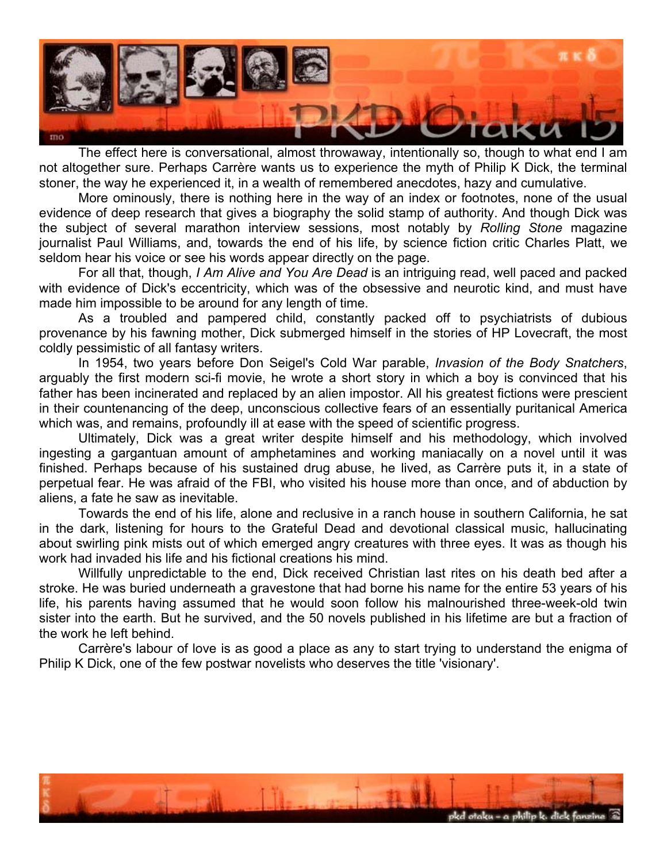

The effect here is conversational, almost throwaway, intentionally so, though to what end I am not altogether sure. Perhaps Carrère wants us to experience the myth of Philip K Dick, the terminal stoner, the way he experienced it, in a wealth of remembered anecdotes, hazy and cumulative.

More ominously, there is nothing here in the way of an index or footnotes, none of the usual evidence of deep research that gives a biography the solid stamp of authority. And though Dick was the subject of several marathon interview sessions, most notably by *Rolling Stone* magazine journalist Paul Williams, and, towards the end of his life, by science fiction critic Charles Platt, we seldom hear his voice or see his words appear directly on the page.

For all that, though, *I Am Alive and You Are Dead* is an intriguing read, well paced and packed with evidence of Dick's eccentricity, which was of the obsessive and neurotic kind, and must have made him impossible to be around for any length of time.

As a troubled and pampered child, constantly packed off to psychiatrists of dubious provenance by his fawning mother, Dick submerged himself in the stories of HP Lovecraft, the most coldly pessimistic of all fantasy writers.

In 1954, two years before Don Seigel's Cold War parable, *Invasion of the Body Snatchers*, arguably the first modern sci-fi movie, he wrote a short story in which a boy is convinced that his father has been incinerated and replaced by an alien impostor. All his greatest fictions were prescient in their countenancing of the deep, unconscious collective fears of an essentially puritanical America which was, and remains, profoundly ill at ease with the speed of scientific progress.

Ultimately, Dick was a great writer despite himself and his methodology, which involved ingesting a gargantuan amount of amphetamines and working maniacally on a novel until it was finished. Perhaps because of his sustained drug abuse, he lived, as Carrère puts it, in a state of perpetual fear. He was afraid of the FBI, who visited his house more than once, and of abduction by aliens, a fate he saw as inevitable.

Towards the end of his life, alone and reclusive in a ranch house in southern California, he sat in the dark, listening for hours to the Grateful Dead and devotional classical music, hallucinating about swirling pink mists out of which emerged angry creatures with three eyes. It was as though his work had invaded his life and his fictional creations his mind.

Willfully unpredictable to the end, Dick received Christian last rites on his death bed after a stroke. He was buried underneath a gravestone that had borne his name for the entire 53 years of his life, his parents having assumed that he would soon follow his malnourished three-week-old twin sister into the earth. But he survived, and the 50 novels published in his lifetime are but a fraction of the work he left behind.

Carrère's labour of love is as good a place as any to start trying to understand the enigma of Philip K Dick, one of the few postwar novelists who deserves the title 'visionary'.

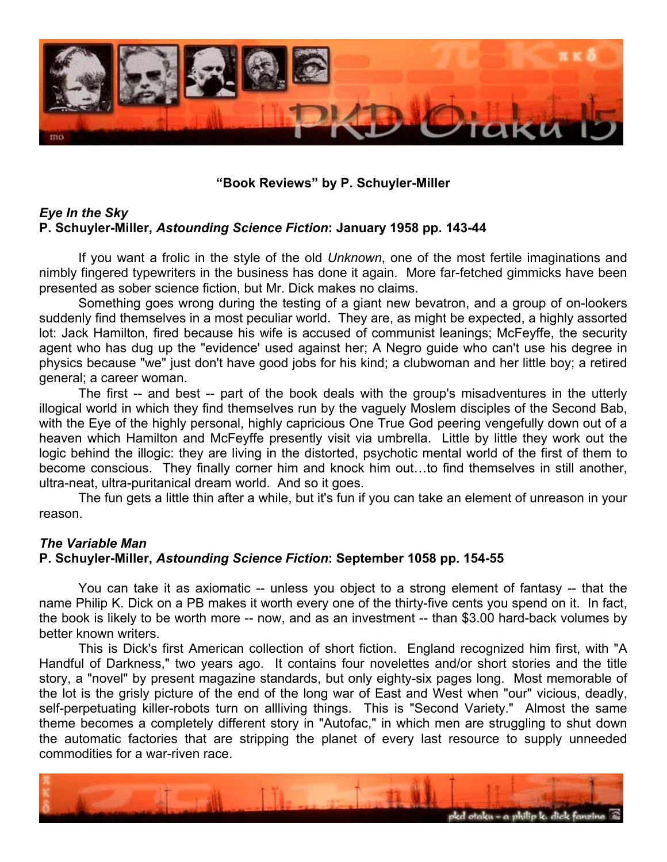

#### **ìBook Reviewsî by P. Schuyler-Miller**

#### *Eye In the Sky*  **P. Schuyler-Miller,** *Astounding Science Fiction***: January 1958 pp. 143-44**

If you want a frolic in the style of the old *Unknown*, one of the most fertile imaginations and nimbly fingered typewriters in the business has done it again. More far-fetched gimmicks have been presented as sober science fiction, but Mr. Dick makes no claims.

Something goes wrong during the testing of a giant new bevatron, and a group of on-lookers suddenly find themselves in a most peculiar world. They are, as might be expected, a highly assorted lot: Jack Hamilton, fired because his wife is accused of communist leanings; McFeyffe, the security agent who has dug up the "evidence' used against her; A Negro guide who can't use his degree in physics because "we" just don't have good jobs for his kind; a clubwoman and her little boy; a retired general; a career woman.

The first -- and best -- part of the book deals with the group's misadventures in the utterly illogical world in which they find themselves run by the vaguely Moslem disciples of the Second Bab, with the Eye of the highly personal, highly capricious One True God peering vengefully down out of a heaven which Hamilton and McFeyffe presently visit via umbrella. Little by little they work out the logic behind the illogic: they are living in the distorted, psychotic mental world of the first of them to become conscious. They finally corner him and knock him out...to find themselves in still another, ultra-neat, ultra-puritanical dream world. And so it goes.

The fun gets a little thin after a while, but it's fun if you can take an element of unreason in your reason.

### *The Variable Man*

### **P. Schuyler-Miller,** *Astounding Science Fiction***: September 1058 pp. 154-55**

You can take it as axiomatic -- unless you object to a strong element of fantasy -- that the name Philip K. Dick on a PB makes it worth every one of the thirty-five cents you spend on it. In fact, the book is likely to be worth more -- now, and as an investment -- than \$3.00 hard-back volumes by better known writers.

This is Dick's first American collection of short fiction. England recognized him first, with "A Handful of Darkness," two years ago. It contains four novelettes and/or short stories and the title story, a "novel" by present magazine standards, but only eighty-six pages long. Most memorable of the lot is the grisly picture of the end of the long war of East and West when "our" vicious, deadly, self-perpetuating killer-robots turn on allliving things. This is "Second Variety." Almost the same theme becomes a completely different story in "Autofac," in which men are struggling to shut down the automatic factories that are stripping the planet of every last resource to supply unneeded commodities for a war-riven race.

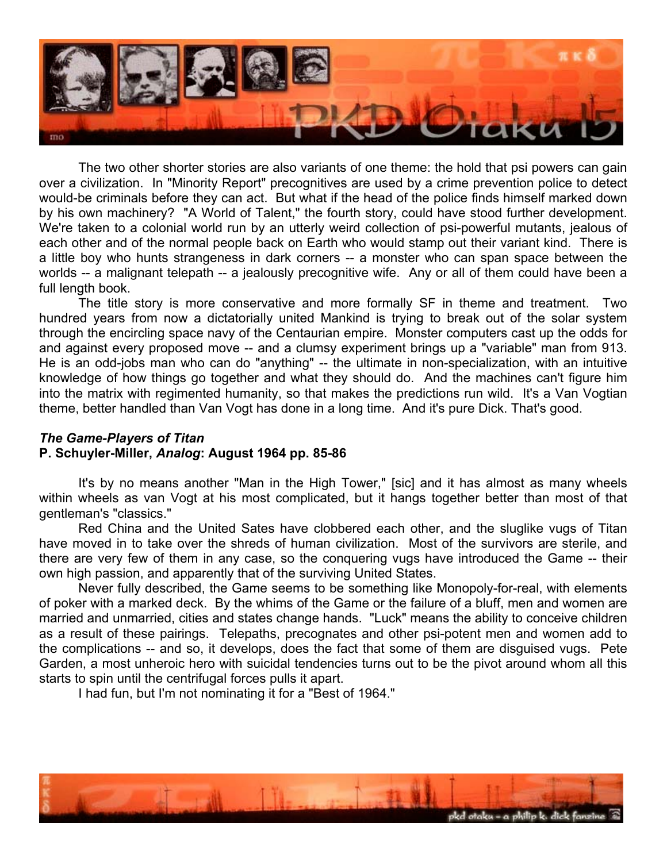

The two other shorter stories are also variants of one theme: the hold that psi powers can gain over a civilization. In "Minority Report" precognitives are used by a crime prevention police to detect would-be criminals before they can act. But what if the head of the police finds himself marked down by his own machinery? "A World of Talent," the fourth story, could have stood further development. We're taken to a colonial world run by an utterly weird collection of psi-powerful mutants, jealous of each other and of the normal people back on Earth who would stamp out their variant kind. There is a little boy who hunts strangeness in dark corners -- a monster who can span space between the worlds -- a malignant telepath -- a jealously precognitive wife. Any or all of them could have been a full length book.

The title story is more conservative and more formally SF in theme and treatment. Two hundred years from now a dictatorially united Mankind is trying to break out of the solar system through the encircling space navy of the Centaurian empire. Monster computers cast up the odds for and against every proposed move -- and a clumsy experiment brings up a "variable" man from 913. He is an odd-jobs man who can do "anything" -- the ultimate in non-specialization, with an intuitive knowledge of how things go together and what they should do. And the machines can't figure him into the matrix with regimented humanity, so that makes the predictions run wild. It's a Van Vogtian theme, better handled than Van Vogt has done in a long time. And it's pure Dick. That's good.

### *The Game-Players of Titan*  **P. Schuyler-Miller,** *Analog***: August 1964 pp. 85-86**

It's by no means another "Man in the High Tower," [sic] and it has almost as many wheels within wheels as van Vogt at his most complicated, but it hangs together better than most of that gentleman's "classics."

Red China and the United Sates have clobbered each other, and the sluglike vugs of Titan have moved in to take over the shreds of human civilization. Most of the survivors are sterile, and there are very few of them in any case, so the conquering vugs have introduced the Game -- their own high passion, and apparently that of the surviving United States.

Never fully described, the Game seems to be something like Monopoly-for-real, with elements of poker with a marked deck. By the whims of the Game or the failure of a bluff, men and women are married and unmarried, cities and states change hands. "Luck" means the ability to conceive children as a result of these pairings. Telepaths, precognates and other psi-potent men and women add to the complications -- and so, it develops, does the fact that some of them are disguised vugs. Pete Garden, a most unheroic hero with suicidal tendencies turns out to be the pivot around whom all this starts to spin until the centrifugal forces pulls it apart.

I had fun, but I'm not nominating it for a "Best of 1964."